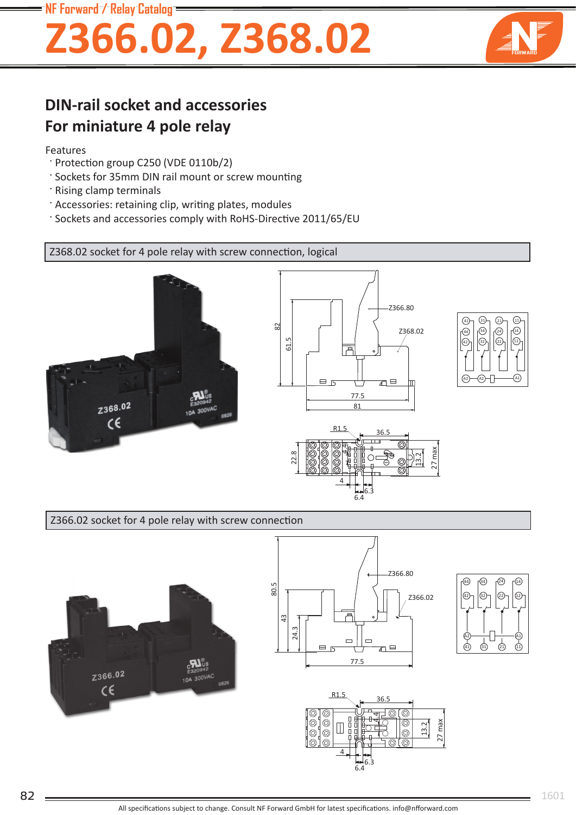**NF Forward / Relay Catalog**

# **Z366.02, Z368.02**



### **DIN-rail socket and accessories For miniature 4 pole relay**

#### Features

- · Protection group C250 (VDE 0110b/2)
- ' Sockets for 35mm DIN rail mount or screw mounting
- · Rising clamp terminals
- · Accessories: retaining clip, writing plates, modules
- : Sockets and accessories comply with RoHS-Directive 2011/65/EU

Z368.02 socket for 4 pole relay with screw connection, logical